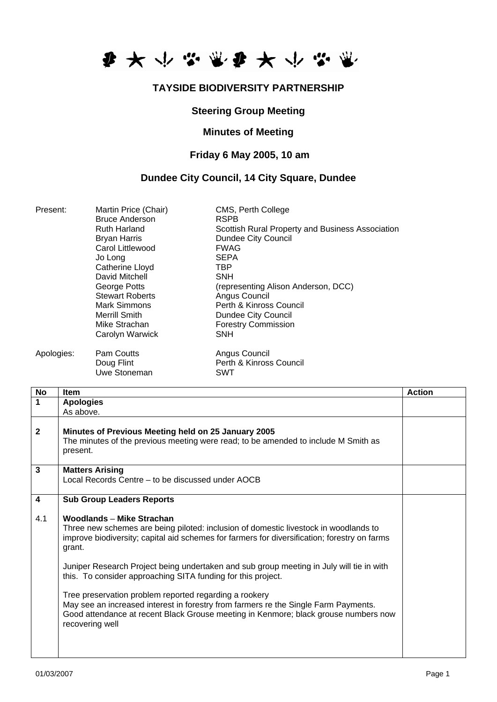

# **TAYSIDE BIODIVERSITY PARTNERSHIP**

#### **Steering Group Meeting**

#### **Minutes of Meeting**

### **Friday 6 May 2005, 10 am**

# **Dundee City Council, 14 City Square, Dundee**

| Present:   | Martin Price (Chair)<br><b>Bruce Anderson</b><br><b>Ruth Harland</b><br><b>Bryan Harris</b><br>Carol Littlewood<br>Jo Long<br>Catherine Lloyd<br>David Mitchell<br>George Potts<br><b>Stewart Roberts</b><br>Mark Simmons<br>Merrill Smith<br>Mike Strachan<br>Carolyn Warwick | CMS, Perth College<br><b>RSPB</b><br>Scottish Rural Property and Business Association<br>Dundee City Council<br><b>FWAG</b><br><b>SEPA</b><br>TBP<br><b>SNH</b><br>(representing Alison Anderson, DCC)<br>Angus Council<br>Perth & Kinross Council<br>Dundee City Council<br><b>Forestry Commission</b><br><b>SNH</b> |
|------------|--------------------------------------------------------------------------------------------------------------------------------------------------------------------------------------------------------------------------------------------------------------------------------|-----------------------------------------------------------------------------------------------------------------------------------------------------------------------------------------------------------------------------------------------------------------------------------------------------------------------|
| Apologies: | Pam Coutts<br>Doug Flint<br>Uwe Stoneman                                                                                                                                                                                                                                       | Angus Council<br>Perth & Kinross Council<br>SWT                                                                                                                                                                                                                                                                       |

| No                      | <b>Item</b>                                                                                                                                                                                                                                                                                                                                                                                                                                                                                                                                                                                                                                        | <b>Action</b> |
|-------------------------|----------------------------------------------------------------------------------------------------------------------------------------------------------------------------------------------------------------------------------------------------------------------------------------------------------------------------------------------------------------------------------------------------------------------------------------------------------------------------------------------------------------------------------------------------------------------------------------------------------------------------------------------------|---------------|
| 1                       | <b>Apologies</b>                                                                                                                                                                                                                                                                                                                                                                                                                                                                                                                                                                                                                                   |               |
|                         | As above.                                                                                                                                                                                                                                                                                                                                                                                                                                                                                                                                                                                                                                          |               |
| $\mathbf{2}$            | Minutes of Previous Meeting held on 25 January 2005<br>The minutes of the previous meeting were read; to be amended to include M Smith as<br>present.                                                                                                                                                                                                                                                                                                                                                                                                                                                                                              |               |
| $\mathbf{3}$            | <b>Matters Arising</b><br>Local Records Centre – to be discussed under AOCB                                                                                                                                                                                                                                                                                                                                                                                                                                                                                                                                                                        |               |
| $\overline{\mathbf{4}}$ | <b>Sub Group Leaders Reports</b>                                                                                                                                                                                                                                                                                                                                                                                                                                                                                                                                                                                                                   |               |
| 4.1                     | Woodlands - Mike Strachan<br>Three new schemes are being piloted: inclusion of domestic livestock in woodlands to<br>improve biodiversity; capital aid schemes for farmers for diversification; forestry on farms<br>grant.<br>Juniper Research Project being undertaken and sub group meeting in July will tie in with<br>this. To consider approaching SITA funding for this project.<br>Tree preservation problem reported regarding a rookery<br>May see an increased interest in forestry from farmers re the Single Farm Payments.<br>Good attendance at recent Black Grouse meeting in Kenmore; black grouse numbers now<br>recovering well |               |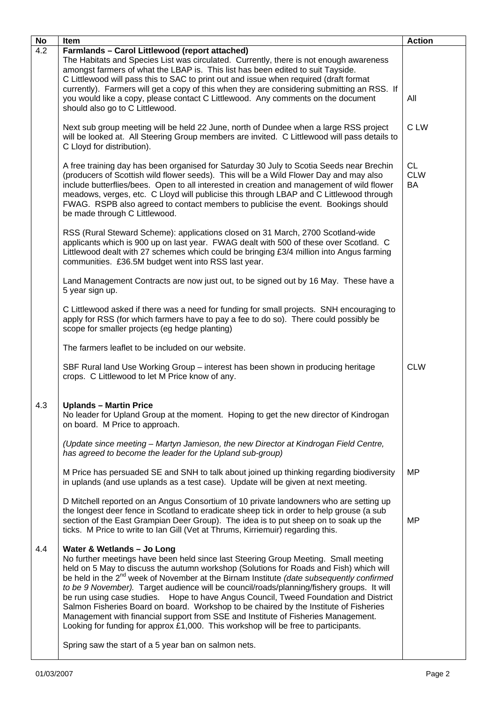| No  | Item                                                                                                                                                                                                                                                                                                                                                                                                                                                                                                                                                                                                                                                                                                                                                                                                                          | <b>Action</b>                 |
|-----|-------------------------------------------------------------------------------------------------------------------------------------------------------------------------------------------------------------------------------------------------------------------------------------------------------------------------------------------------------------------------------------------------------------------------------------------------------------------------------------------------------------------------------------------------------------------------------------------------------------------------------------------------------------------------------------------------------------------------------------------------------------------------------------------------------------------------------|-------------------------------|
| 4.2 | <b>Farmlands - Carol Littlewood (report attached)</b><br>The Habitats and Species List was circulated. Currently, there is not enough awareness<br>amongst farmers of what the LBAP is. This list has been edited to suit Tayside.<br>C Littlewood will pass this to SAC to print out and issue when required (draft format<br>currently). Farmers will get a copy of this when they are considering submitting an RSS. If<br>you would like a copy, please contact C Littlewood. Any comments on the document<br>should also go to C Littlewood.                                                                                                                                                                                                                                                                             | All                           |
|     | Next sub group meeting will be held 22 June, north of Dundee when a large RSS project<br>will be looked at. All Steering Group members are invited. C Littlewood will pass details to<br>C Lloyd for distribution).                                                                                                                                                                                                                                                                                                                                                                                                                                                                                                                                                                                                           | C LW                          |
|     | A free training day has been organised for Saturday 30 July to Scotia Seeds near Brechin<br>(producers of Scottish wild flower seeds). This will be a Wild Flower Day and may also<br>include butterflies/bees. Open to all interested in creation and management of wild flower<br>meadows, verges, etc. C Lloyd will publicise this through LBAP and C Littlewood through<br>FWAG. RSPB also agreed to contact members to publicise the event. Bookings should<br>be made through C Littlewood.                                                                                                                                                                                                                                                                                                                             | <b>CL</b><br><b>CLW</b><br>BA |
|     | RSS (Rural Steward Scheme): applications closed on 31 March, 2700 Scotland-wide<br>applicants which is 900 up on last year. FWAG dealt with 500 of these over Scotland. C<br>Littlewood dealt with 27 schemes which could be bringing £3/4 million into Angus farming<br>communities. £36.5M budget went into RSS last year.                                                                                                                                                                                                                                                                                                                                                                                                                                                                                                  |                               |
|     | Land Management Contracts are now just out, to be signed out by 16 May. These have a<br>5 year sign up.                                                                                                                                                                                                                                                                                                                                                                                                                                                                                                                                                                                                                                                                                                                       |                               |
|     | C Littlewood asked if there was a need for funding for small projects. SNH encouraging to<br>apply for RSS (for which farmers have to pay a fee to do so). There could possibly be<br>scope for smaller projects (eg hedge planting)                                                                                                                                                                                                                                                                                                                                                                                                                                                                                                                                                                                          |                               |
|     | The farmers leaflet to be included on our website.                                                                                                                                                                                                                                                                                                                                                                                                                                                                                                                                                                                                                                                                                                                                                                            |                               |
|     | SBF Rural land Use Working Group - interest has been shown in producing heritage<br>crops. C Littlewood to let M Price know of any.                                                                                                                                                                                                                                                                                                                                                                                                                                                                                                                                                                                                                                                                                           | <b>CLW</b>                    |
| 4.3 | <b>Uplands - Martin Price</b><br>No leader for Upland Group at the moment. Hoping to get the new director of Kindrogan<br>on board. M Price to approach.                                                                                                                                                                                                                                                                                                                                                                                                                                                                                                                                                                                                                                                                      |                               |
|     | (Update since meeting - Martyn Jamieson, the new Director at Kindrogan Field Centre,<br>has agreed to become the leader for the Upland sub-group)                                                                                                                                                                                                                                                                                                                                                                                                                                                                                                                                                                                                                                                                             |                               |
|     | M Price has persuaded SE and SNH to talk about joined up thinking regarding biodiversity<br>in uplands (and use uplands as a test case). Update will be given at next meeting.                                                                                                                                                                                                                                                                                                                                                                                                                                                                                                                                                                                                                                                | <b>MP</b>                     |
|     | D Mitchell reported on an Angus Consortium of 10 private landowners who are setting up<br>the longest deer fence in Scotland to eradicate sheep tick in order to help grouse (a sub<br>section of the East Grampian Deer Group). The idea is to put sheep on to soak up the<br>ticks. M Price to write to Ian Gill (Vet at Thrums, Kirriemuir) regarding this.                                                                                                                                                                                                                                                                                                                                                                                                                                                                | <b>MP</b>                     |
| 4.4 | Water & Wetlands - Jo Long<br>No further meetings have been held since last Steering Group Meeting. Small meeting<br>held on 5 May to discuss the autumn workshop (Solutions for Roads and Fish) which will<br>be held in the $2^{nd}$ week of November at the Birnam Institute (date subsequently confirmed<br>to be 9 November). Target audience will be council/roads/planning/fishery groups. It will<br>be run using case studies. Hope to have Angus Council, Tweed Foundation and District<br>Salmon Fisheries Board on board. Workshop to be chaired by the Institute of Fisheries<br>Management with financial support from SSE and Institute of Fisheries Management.<br>Looking for funding for approx £1,000. This workshop will be free to participants.<br>Spring saw the start of a 5 year ban on salmon nets. |                               |
|     |                                                                                                                                                                                                                                                                                                                                                                                                                                                                                                                                                                                                                                                                                                                                                                                                                               |                               |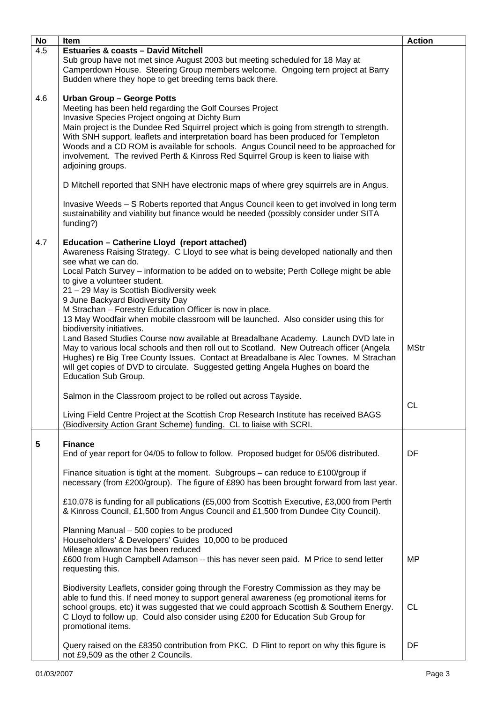| No                      | Item                                                                                                                                                                                                                                                                                                                                                                                                                                                                                                                                                                 | <b>Action</b> |
|-------------------------|----------------------------------------------------------------------------------------------------------------------------------------------------------------------------------------------------------------------------------------------------------------------------------------------------------------------------------------------------------------------------------------------------------------------------------------------------------------------------------------------------------------------------------------------------------------------|---------------|
| $\overline{4.5}$        | <b>Estuaries &amp; coasts - David Mitchell</b><br>Sub group have not met since August 2003 but meeting scheduled for 18 May at<br>Camperdown House. Steering Group members welcome. Ongoing tern project at Barry<br>Budden where they hope to get breeding terns back there.                                                                                                                                                                                                                                                                                        |               |
| 4.6                     | <b>Urban Group - George Potts</b><br>Meeting has been held regarding the Golf Courses Project<br>Invasive Species Project ongoing at Dichty Burn<br>Main project is the Dundee Red Squirrel project which is going from strength to strength.<br>With SNH support, leaflets and interpretation board has been produced for Templeton<br>Woods and a CD ROM is available for schools. Angus Council need to be approached for<br>involvement. The revived Perth & Kinross Red Squirrel Group is keen to liaise with<br>adjoining groups.                              |               |
|                         | D Mitchell reported that SNH have electronic maps of where grey squirrels are in Angus.                                                                                                                                                                                                                                                                                                                                                                                                                                                                              |               |
|                         | Invasive Weeds - S Roberts reported that Angus Council keen to get involved in long term<br>sustainability and viability but finance would be needed (possibly consider under SITA<br>funding?)                                                                                                                                                                                                                                                                                                                                                                      |               |
| 4.7                     | Education - Catherine Lloyd (report attached)<br>Awareness Raising Strategy. C Lloyd to see what is being developed nationally and then<br>see what we can do.<br>Local Patch Survey – information to be added on to website; Perth College might be able<br>to give a volunteer student.<br>21 - 29 May is Scottish Biodiversity week<br>9 June Backyard Biodiversity Day                                                                                                                                                                                           |               |
|                         | M Strachan - Forestry Education Officer is now in place.<br>13 May Woodfair when mobile classroom will be launched. Also consider using this for<br>biodiversity initiatives.<br>Land Based Studies Course now available at Breadalbane Academy. Launch DVD late in<br>May to various local schools and then roll out to Scotland. New Outreach officer (Angela<br>Hughes) re Big Tree County Issues. Contact at Breadalbane is Alec Townes. M Strachan<br>will get copies of DVD to circulate. Suggested getting Angela Hughes on board the<br>Education Sub Group. | <b>MStr</b>   |
|                         | Salmon in the Classroom project to be rolled out across Tayside.                                                                                                                                                                                                                                                                                                                                                                                                                                                                                                     |               |
|                         | Living Field Centre Project at the Scottish Crop Research Institute has received BAGS<br>(Biodiversity Action Grant Scheme) funding. CL to liaise with SCRI.                                                                                                                                                                                                                                                                                                                                                                                                         | <b>CL</b>     |
| $\overline{\mathbf{5}}$ | <b>Finance</b><br>End of year report for 04/05 to follow to follow. Proposed budget for 05/06 distributed.<br>Finance situation is tight at the moment. Subgroups - can reduce to £100/group if                                                                                                                                                                                                                                                                                                                                                                      | DF            |
|                         | necessary (from £200/group). The figure of £890 has been brought forward from last year.                                                                                                                                                                                                                                                                                                                                                                                                                                                                             |               |
|                         | £10,078 is funding for all publications (£5,000 from Scottish Executive, £3,000 from Perth<br>& Kinross Council, £1,500 from Angus Council and £1,500 from Dundee City Council).                                                                                                                                                                                                                                                                                                                                                                                     |               |
|                         | Planning Manual - 500 copies to be produced<br>Householders' & Developers' Guides 10,000 to be produced<br>Mileage allowance has been reduced<br>£600 from Hugh Campbell Adamson - this has never seen paid. M Price to send letter<br>requesting this.                                                                                                                                                                                                                                                                                                              | <b>MP</b>     |
|                         | Biodiversity Leaflets, consider going through the Forestry Commission as they may be<br>able to fund this. If need money to support general awareness (eg promotional items for<br>school groups, etc) it was suggested that we could approach Scottish & Southern Energy.<br>C Lloyd to follow up. Could also consider using £200 for Education Sub Group for<br>promotional items.                                                                                                                                                                                 | <b>CL</b>     |
|                         | Query raised on the £8350 contribution from PKC. D Flint to report on why this figure is<br>not £9,509 as the other 2 Councils.                                                                                                                                                                                                                                                                                                                                                                                                                                      | DF            |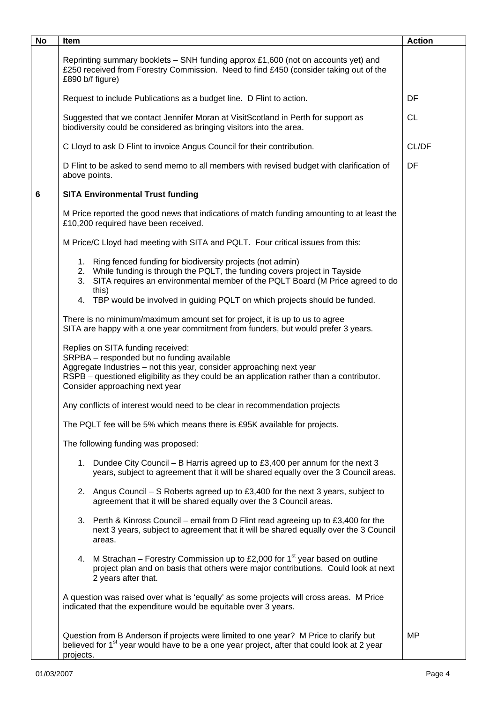| <b>No</b> | Item                                                                                                                                                                                                                                                                                                                     | <b>Action</b> |
|-----------|--------------------------------------------------------------------------------------------------------------------------------------------------------------------------------------------------------------------------------------------------------------------------------------------------------------------------|---------------|
|           | Reprinting summary booklets - SNH funding approx £1,600 (not on accounts yet) and<br>£250 received from Forestry Commission. Need to find £450 (consider taking out of the<br>£890 b/f figure)                                                                                                                           |               |
|           | Request to include Publications as a budget line. D Flint to action.                                                                                                                                                                                                                                                     | DF            |
|           | Suggested that we contact Jennifer Moran at VisitScotland in Perth for support as<br>biodiversity could be considered as bringing visitors into the area.                                                                                                                                                                | <b>CL</b>     |
|           | C Lloyd to ask D Flint to invoice Angus Council for their contribution.                                                                                                                                                                                                                                                  | CL/DF         |
|           | D Flint to be asked to send memo to all members with revised budget with clarification of<br>above points.                                                                                                                                                                                                               | DF            |
| 6         | <b>SITA Environmental Trust funding</b>                                                                                                                                                                                                                                                                                  |               |
|           | M Price reported the good news that indications of match funding amounting to at least the<br>£10,200 required have been received.                                                                                                                                                                                       |               |
|           | M Price/C Lloyd had meeting with SITA and PQLT. Four critical issues from this:                                                                                                                                                                                                                                          |               |
|           | 1. Ring fenced funding for biodiversity projects (not admin)<br>2. While funding is through the PQLT, the funding covers project in Tayside<br>3. SITA requires an environmental member of the PQLT Board (M Price agreed to do<br>this)<br>4. TBP would be involved in guiding PQLT on which projects should be funded. |               |
|           | There is no minimum/maximum amount set for project, it is up to us to agree<br>SITA are happy with a one year commitment from funders, but would prefer 3 years.                                                                                                                                                         |               |
|           | Replies on SITA funding received:<br>SRPBA - responded but no funding available<br>Aggregate Industries - not this year, consider approaching next year<br>RSPB – questioned eligibility as they could be an application rather than a contributor.<br>Consider approaching next year                                    |               |
|           | Any conflicts of interest would need to be clear in recommendation projects                                                                                                                                                                                                                                              |               |
|           | The PQLT fee will be 5% which means there is £95K available for projects.                                                                                                                                                                                                                                                |               |
|           | The following funding was proposed:                                                                                                                                                                                                                                                                                      |               |
|           | 1. Dundee City Council – B Harris agreed up to £3,400 per annum for the next 3<br>years, subject to agreement that it will be shared equally over the 3 Council areas.                                                                                                                                                   |               |
|           | 2. Angus Council – S Roberts agreed up to £3,400 for the next 3 years, subject to<br>agreement that it will be shared equally over the 3 Council areas.                                                                                                                                                                  |               |
|           | 3. Perth & Kinross Council – email from D Flint read agreeing up to £3,400 for the<br>next 3 years, subject to agreement that it will be shared equally over the 3 Council<br>areas.                                                                                                                                     |               |
|           | M Strachan – Forestry Commission up to £2,000 for 1 <sup>st</sup> year based on outline<br>4.<br>project plan and on basis that others were major contributions. Could look at next<br>2 years after that.                                                                                                               |               |
|           | A question was raised over what is 'equally' as some projects will cross areas. M Price<br>indicated that the expenditure would be equitable over 3 years.                                                                                                                                                               |               |
|           | Question from B Anderson if projects were limited to one year? M Price to clarify but<br>believed for 1 <sup>st</sup> year would have to be a one year project, after that could look at 2 year<br>projects.                                                                                                             | MP            |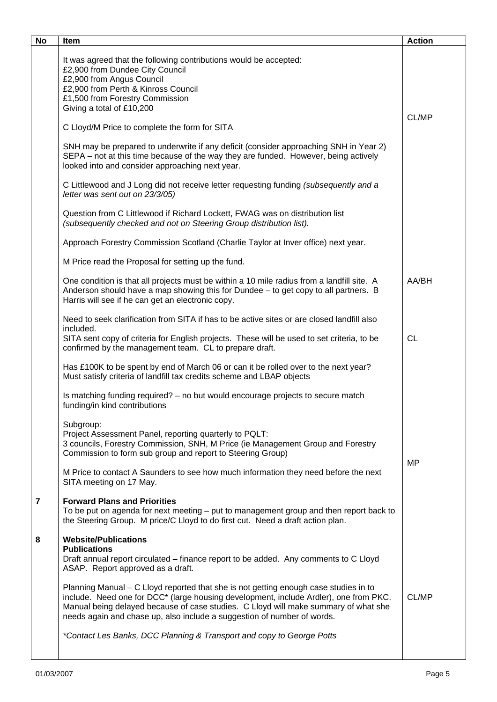| <b>No</b>      | Item                                                                                                                                                                                                                                                                                                                                            | <b>Action</b> |
|----------------|-------------------------------------------------------------------------------------------------------------------------------------------------------------------------------------------------------------------------------------------------------------------------------------------------------------------------------------------------|---------------|
|                | It was agreed that the following contributions would be accepted:<br>£2,900 from Dundee City Council<br>£2,900 from Angus Council<br>£2,900 from Perth & Kinross Council<br>£1,500 from Forestry Commission<br>Giving a total of £10,200                                                                                                        |               |
|                | C Lloyd/M Price to complete the form for SITA                                                                                                                                                                                                                                                                                                   | CL/MP         |
|                | SNH may be prepared to underwrite if any deficit (consider approaching SNH in Year 2)<br>SEPA – not at this time because of the way they are funded. However, being actively<br>looked into and consider approaching next year.                                                                                                                 |               |
|                | C Littlewood and J Long did not receive letter requesting funding (subsequently and a<br>letter was sent out on 23/3/05)                                                                                                                                                                                                                        |               |
|                | Question from C Littlewood if Richard Lockett, FWAG was on distribution list<br>(subsequently checked and not on Steering Group distribution list).                                                                                                                                                                                             |               |
|                | Approach Forestry Commission Scotland (Charlie Taylor at Inver office) next year.                                                                                                                                                                                                                                                               |               |
|                | M Price read the Proposal for setting up the fund.                                                                                                                                                                                                                                                                                              |               |
|                | One condition is that all projects must be within a 10 mile radius from a landfill site. A<br>Anderson should have a map showing this for Dundee - to get copy to all partners. B<br>Harris will see if he can get an electronic copy.                                                                                                          | AA/BH         |
|                | Need to seek clarification from SITA if has to be active sites or are closed landfill also<br>included.                                                                                                                                                                                                                                         |               |
|                | SITA sent copy of criteria for English projects. These will be used to set criteria, to be<br>confirmed by the management team. CL to prepare draft.                                                                                                                                                                                            | <b>CL</b>     |
|                | Has £100K to be spent by end of March 06 or can it be rolled over to the next year?<br>Must satisfy criteria of landfill tax credits scheme and LBAP objects                                                                                                                                                                                    |               |
|                | Is matching funding required? - no but would encourage projects to secure match<br>funding/in kind contributions                                                                                                                                                                                                                                |               |
|                | Subgroup:<br>Project Assessment Panel, reporting quarterly to PQLT:<br>3 councils, Forestry Commission, SNH, M Price (ie Management Group and Forestry<br>Commission to form sub group and report to Steering Group)                                                                                                                            | <b>MP</b>     |
|                | M Price to contact A Saunders to see how much information they need before the next<br>SITA meeting on 17 May.                                                                                                                                                                                                                                  |               |
| $\overline{7}$ | <b>Forward Plans and Priorities</b><br>To be put on agenda for next meeting - put to management group and then report back to<br>the Steering Group. M price/C Lloyd to do first cut. Need a draft action plan.                                                                                                                                 |               |
| 8              | <b>Website/Publications</b><br><b>Publications</b><br>Draft annual report circulated – finance report to be added. Any comments to C Lloyd<br>ASAP. Report approved as a draft.                                                                                                                                                                 |               |
|                | Planning Manual – C Lloyd reported that she is not getting enough case studies in to<br>include. Need one for DCC* (large housing development, include Ardler), one from PKC.<br>Manual being delayed because of case studies. C Lloyd will make summary of what she<br>needs again and chase up, also include a suggestion of number of words. | CL/MP         |
|                | *Contact Les Banks, DCC Planning & Transport and copy to George Potts                                                                                                                                                                                                                                                                           |               |